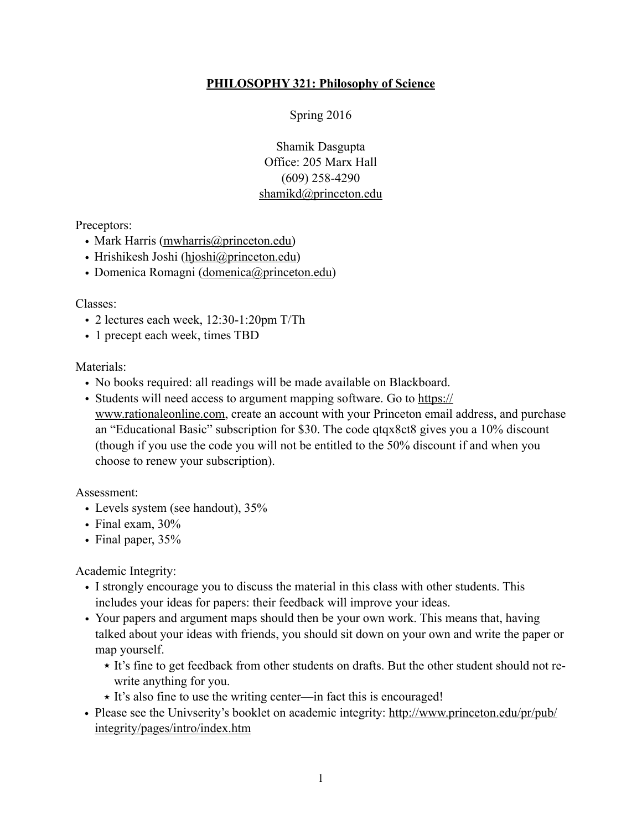# **PHILOSOPHY 321: Philosophy of Science**

Spring 2016

Shamik Dasgupta Office: 205 Marx Hall (609) 258-4290 [shamikd@princeton.edu](mailto:shamikd@princeton.edu) 

Preceptors:

- Mark Harris ([mwharris@princeton.edu\)](mailto:mwharris@princeton.edu)
- Hrishikesh Joshi ([hjoshi@princeton.edu\)](mailto:hjoshi@princeton.edu)
- Domenica Romagni [\(domenica@princeton.edu\)](mailto:domenica@princeton.edu)

#### Classes:

- 2 lectures each week, 12:30-1:20pm T/Th
- 1 precept each week, times TBD

#### Materials:

- No books required: all readings will be made available on Blackboard.
- [Students will need access to argument mapping software. Go to https://](https://www.rationaleonline.com) www.rationaleonline.com, create an account with your Princeton email address, and purchase an "Educational Basic" subscription for \$30. The code qtqx8ct8 gives you a 10% discount (though if you use the code you will not be entitled to the 50% discount if and when you choose to renew your subscription).

Assessment:

- Levels system (see handout),  $35\%$
- Final exam,  $30\%$
- Final paper,  $35%$

Academic Integrity:

- I strongly encourage you to discuss the material in this class with other students. This includes your ideas for papers: their feedback will improve your ideas.
- Your papers and argument maps should then be your own work. This means that, having talked about your ideas with friends, you should sit down on your own and write the paper or map yourself.
	- ★ It's fine to get feedback from other students on drafts. But the other student should not rewrite anything for you.
	- ★ It's also fine to use the writing center—in fact this is encouraged!
- [Please see the Univserity's booklet on academic integrity: http://www.princeton.edu/pr/pub/](http://www.princeton.edu/pr/pub/integrity/pages/intro/index.htm) integrity/pages/intro/index.htm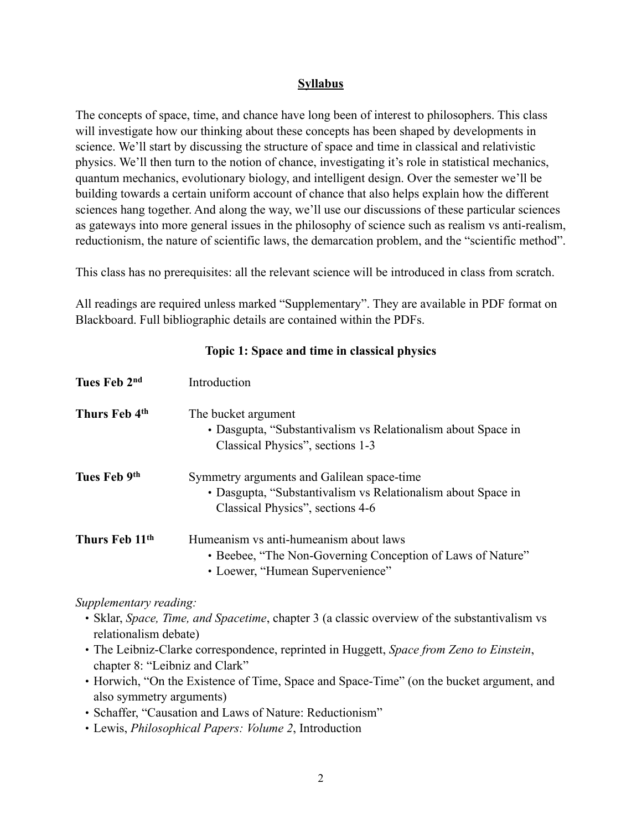## **Syllabus**

The concepts of space, time, and chance have long been of interest to philosophers. This class will investigate how our thinking about these concepts has been shaped by developments in science. We'll start by discussing the structure of space and time in classical and relativistic physics. We'll then turn to the notion of chance, investigating it's role in statistical mechanics, quantum mechanics, evolutionary biology, and intelligent design. Over the semester we'll be building towards a certain uniform account of chance that also helps explain how the different sciences hang together. And along the way, we'll use our discussions of these particular sciences as gateways into more general issues in the philosophy of science such as realism vs anti-realism, reductionism, the nature of scientific laws, the demarcation problem, and the "scientific method".

This class has no prerequisites: all the relevant science will be introduced in class from scratch.

All readings are required unless marked "Supplementary". They are available in PDF format on Blackboard. Full bibliographic details are contained within the PDFs.

| Tues Feb 2 <sup>nd</sup>   | Introduction                                                                                                                                   |
|----------------------------|------------------------------------------------------------------------------------------------------------------------------------------------|
| Thurs Feb 4th              | The bucket argument<br>• Dasgupta, "Substantivalism vs Relationalism about Space in<br>Classical Physics", sections 1-3                        |
| Tues Feb 9th               | Symmetry arguments and Galilean space-time<br>• Dasgupta, "Substantivalism vs Relationalism about Space in<br>Classical Physics", sections 4-6 |
| Thurs Feb 11 <sup>th</sup> | Humeanism vs anti-humeanism about laws<br>• Beebee, "The Non-Governing Conception of Laws of Nature"<br>• Loewer, "Humean Supervenience"       |

#### **Topic 1: Space and time in classical physics**

*Supplementary reading:* 

- Sklar, *Space, Time, and Spacetime*, chapter 3 (a classic overview of the substantivalism vs relationalism debate)
- The Leibniz-Clarke correspondence, reprinted in Huggett, *Space from Zeno to Einstein*, chapter 8: "Leibniz and Clark"
- Horwich, "On the Existence of Time, Space and Space-Time" (on the bucket argument, and also symmetry arguments)
- Schaffer, "Causation and Laws of Nature: Reductionism"
- Lewis, *Philosophical Papers: Volume 2*, Introduction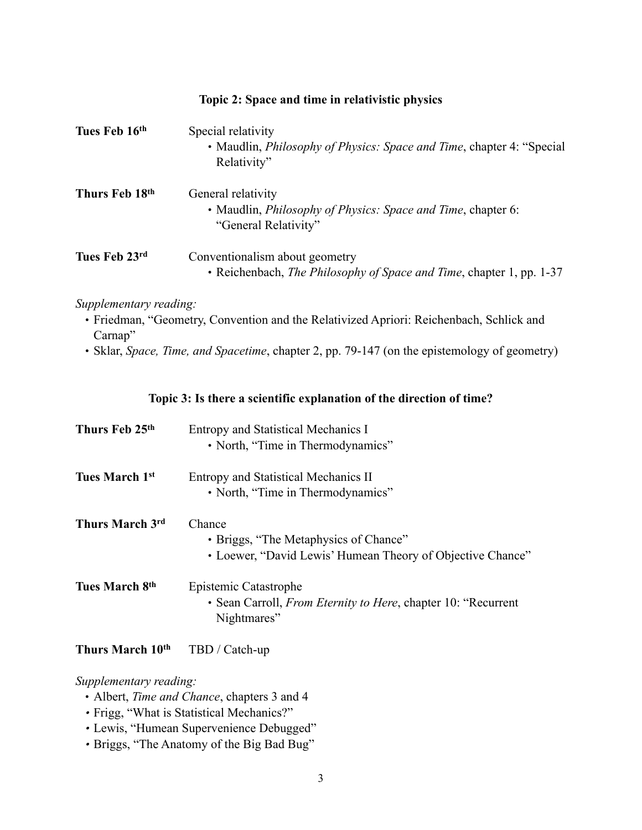| Tues Feb 16th                                                                                                                                                                                                                | Special relativity<br>• Maudlin, Philosophy of Physics: Space and Time, chapter 4: "Special<br>Relativity"     |  |
|------------------------------------------------------------------------------------------------------------------------------------------------------------------------------------------------------------------------------|----------------------------------------------------------------------------------------------------------------|--|
| Thurs Feb 18th                                                                                                                                                                                                               | General relativity<br>• Maudlin, Philosophy of Physics: Space and Time, chapter 6:<br>"General Relativity"     |  |
| Tues Feb 23rd                                                                                                                                                                                                                | Conventionalism about geometry<br>• Reichenbach, <i>The Philosophy of Space and Time</i> , chapter 1, pp. 1-37 |  |
| Supplementary reading:<br>· Friedman, "Geometry, Convention and the Relativized Apriori: Reichenbach, Schlick and<br>Carnap"<br>• Sklar, Space, Time, and Spacetime, chapter 2, pp. 79-147 (on the epistemology of geometry) |                                                                                                                |  |
| Topic 3: Is there a scientific explanation of the direction of time?                                                                                                                                                         |                                                                                                                |  |
| Thurs Feb 25th                                                                                                                                                                                                               | <b>Entropy and Statistical Mechanics I</b><br>· North, "Time in Thermodynamics"                                |  |
| <b>Tues March 1st</b>                                                                                                                                                                                                        | <b>Entropy and Statistical Mechanics II</b><br>• North, "Time in Thermodynamics"                               |  |
| Thurs March 3rd                                                                                                                                                                                                              | Chance<br>· Briggs, "The Metaphysics of Chance"<br>• Loewer, "David Lewis' Humean Theory of Objective Chance"  |  |
| Tues March 8th                                                                                                                                                                                                               | <b>Epistemic Catastrophe</b><br>· Sean Carroll, From Eternity to Here, chapter 10: "Recurrent<br>Nightmares"   |  |
| Thurs March 10 <sup>th</sup>                                                                                                                                                                                                 | TBD / Catch-up                                                                                                 |  |
| Supplementary reading:                                                                                                                                                                                                       |                                                                                                                |  |

**Topic 2: Space and time in relativistic physics** 

- **•** Albert, *Time and Chance*, chapters 3 and 4
- *•* Frigg, "What is Statistical Mechanics?"
- *•* Lewis, "Humean Supervenience Debugged"
- *•* Briggs, "The Anatomy of the Big Bad Bug"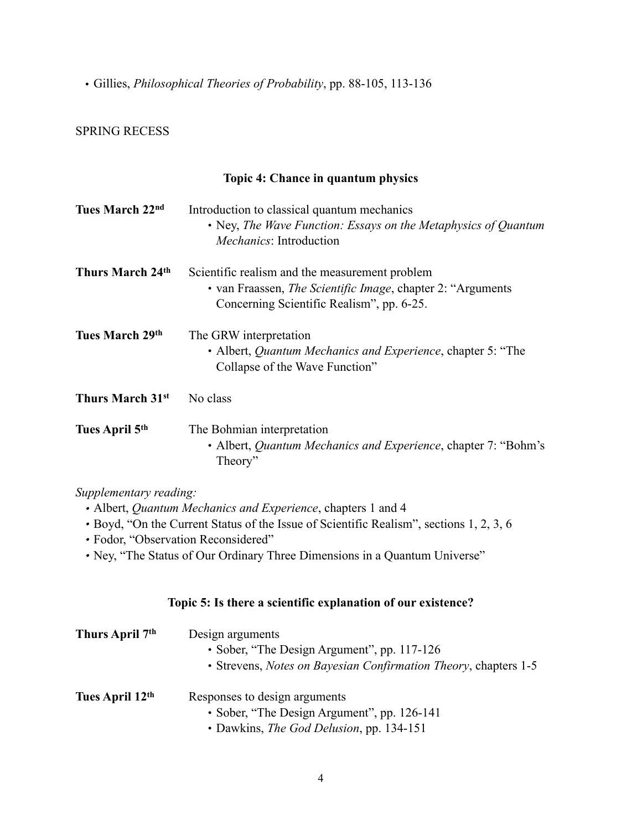• Gillies, *Philosophical Theories of Probability*, pp. 88-105, 113-136

## SPRING RECESS

### **Topic 4: Chance in quantum physics**

| Tues March 22nd            | Introduction to classical quantum mechanics<br>• Ney, The Wave Function: Essays on the Metaphysics of Quantum<br><i>Mechanics:</i> Introduction                     |
|----------------------------|---------------------------------------------------------------------------------------------------------------------------------------------------------------------|
| Thurs March 24th           | Scientific realism and the measurement problem<br>• van Fraassen, <i>The Scientific Image</i> , chapter 2: "Arguments"<br>Concerning Scientific Realism", pp. 6-25. |
| Tues March 29th            | The GRW interpretation<br>• Albert, <i>Quantum Mechanics and Experience</i> , chapter 5: "The<br>Collapse of the Wave Function"                                     |
| Thurs March 31st           | No class                                                                                                                                                            |
| Tues April 5 <sup>th</sup> | The Bohmian interpretation<br>• Albert, <i>Quantum Mechanics and Experience</i> , chapter 7: "Bohm's<br>Theory"                                                     |

#### *Supplementary reading:*

- *•* Albert, *Quantum Mechanics and Experience*, chapters 1 and 4
- *•* Boyd, "On the Current Status of the Issue of Scientific Realism", sections 1, 2, 3, 6
- *•* Fodor, "Observation Reconsidered"
- *•* Ney, "The Status of Our Ordinary Three Dimensions in a Quantum Universe"

## **Topic 5: Is there a scientific explanation of our existence?**

| Thurs April 7 <sup>th</sup> | Design arguments<br>• Sober, "The Design Argument", pp. 117-126<br>• Strevens, Notes on Bayesian Confirmation Theory, chapters 1-5 |
|-----------------------------|------------------------------------------------------------------------------------------------------------------------------------|
| Tues April 12th             | Responses to design arguments<br>• Sober, "The Design Argument", pp. 126-141<br>• Dawkins, <i>The God Delusion</i> , pp. 134-151   |